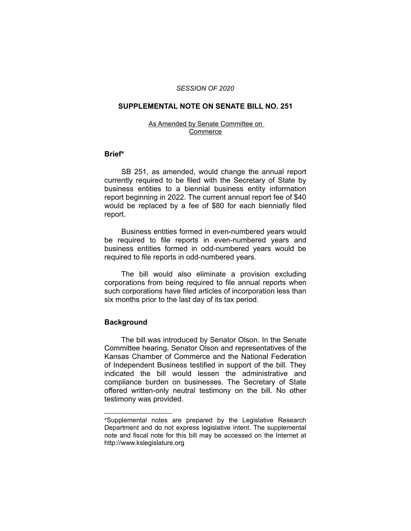### *SESSION OF 2020*

# **SUPPLEMENTAL NOTE ON SENATE BILL NO. 251**

#### As Amended by Senate Committee on Commerce

### **Brief\***

SB 251, as amended, would change the annual report currently required to be filed with the Secretary of State by business entities to a biennial business entity information report beginning in 2022. The current annual report fee of \$40 would be replaced by a fee of \$80 for each biennially filed report.

Business entities formed in even-numbered years would be required to file reports in even-numbered years and business entities formed in odd-numbered years would be required to file reports in odd-numbered years.

The bill would also eliminate a provision excluding corporations from being required to file annual reports when such corporations have filed articles of incorporation less than six months prior to the last day of its tax period.

# **Background**

 $\overline{\phantom{a}}$  , where  $\overline{\phantom{a}}$ 

The bill was introduced by Senator Olson. In the Senate Committee hearing, Senator Olson and representatives of the Kansas Chamber of Commerce and the National Federation of Independent Business testified in support of the bill. They indicated the bill would lessen the administrative and compliance burden on businesses. The Secretary of State offered written-only neutral testimony on the bill. No other testimony was provided.

<sup>\*</sup>Supplemental notes are prepared by the Legislative Research Department and do not express legislative intent. The supplemental note and fiscal note for this bill may be accessed on the Internet at http://www.kslegislature.org